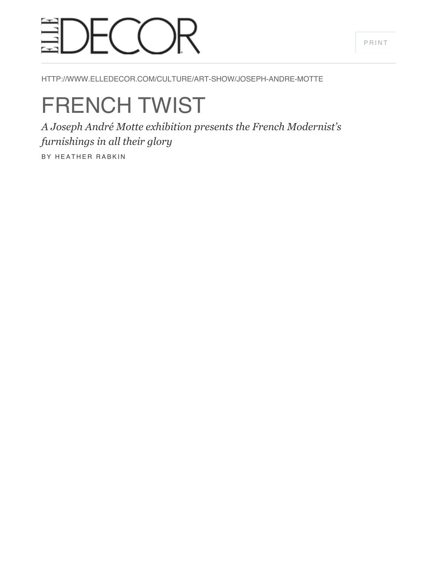#### [PRINT](javascript:window.print())

## $-$ (  $\hat{ }$  )  $\mathsf R$

HTTP://WWW.ELLEDECOR.COM/CULTURE/ART-SHOW/JOSEPH-ANDRE-MOTTE

# FRENCH TWIST

*A Joseph André Motte exhibition presents the French Modernist's furnishings in all their glory*

BY HEATHER RABKIN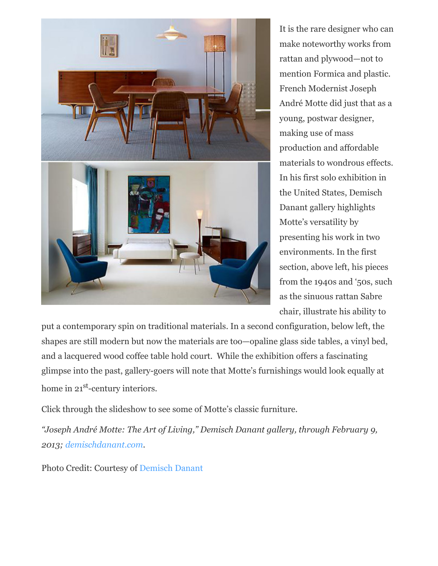

It is the rare designer who can make noteworthy works from rattan and plywood—not to mention Formica and plastic. French Modernist Joseph André Motte did just that as a young, postwar designer, making use of mass production and affordable materials to wondrous effects. In his first solo exhibition in the United States, Demisch Danant gallery highlights Motte's versatility by presenting his work in two environments. In the first section, above left, his pieces from the 1940s and '50s, such as the sinuous rattan Sabre chair, illustrate his ability to

put a contemporary spin on traditional materials. In a second configuration, below left, the shapes are still modern but now the materials are too—opaline glass side tables, a vinyl bed, and a lacquered wood coffee table hold court. While the exhibition offers a fascinating glimpse into the past, gallery-goers will note that Motte's furnishings would look equally at home in 21<sup>st</sup>-century interiors.

Click through the slideshow to see some of Motte's classic furniture.

*"Joseph André Motte: The Art of Living," Demisch Danant gallery, through February 9, 2013; [demischdanant.com](http://www.demischdanant.com/exhibitions-and-events/2012-11-08_joseph-andr-motte-the-art-of-living/).*

Photo Credit: Courtesy of [Demisch Danant](http://www.demischdanant.com/exhibitions-and-events/2012-11-08_joseph-andr-motte-the-art-of-living/)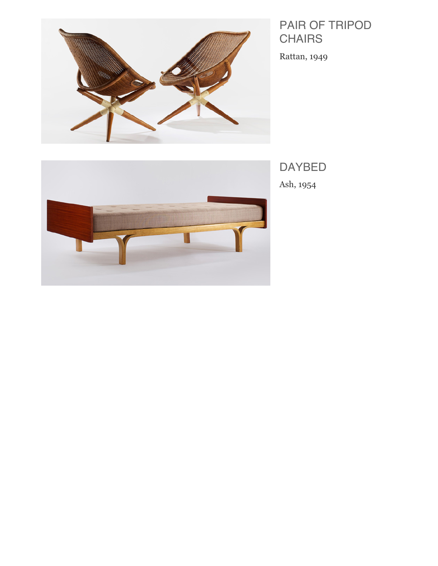

### PAIR OF TRIPOD **CHAIRS**

Rattan, 1949



DAYBED

Ash, 1954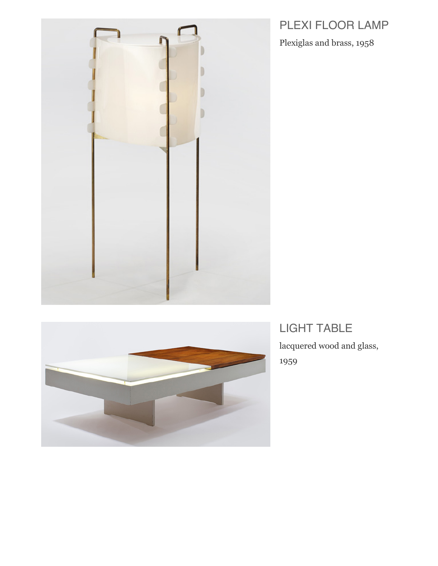

Plexiglas and brass, 1958





LIGHT TABLE lacquered wood and glass, 1959